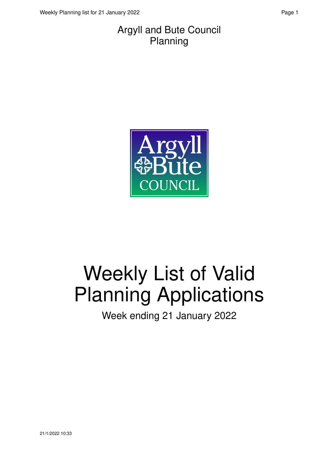#### Argyll and Bute Council Planning



# Weekly List of Valid Planning Applications

Week ending 21 January 2022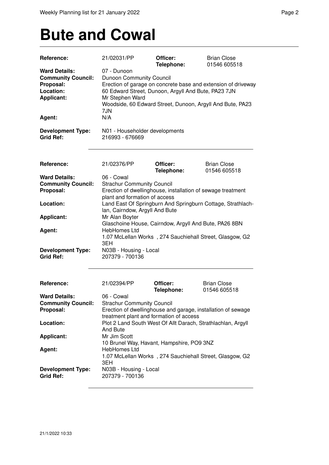## **Bute and Cowal**

| Reference:                                   | 21/02031/PP                                       | Officer:<br>Telephone:                              | <b>Brian Close</b><br>01546 605518                            |
|----------------------------------------------|---------------------------------------------------|-----------------------------------------------------|---------------------------------------------------------------|
| <b>Ward Details:</b>                         | 07 - Dunoon                                       |                                                     |                                                               |
| <b>Community Council:</b>                    | Dunoon Community Council                          |                                                     |                                                               |
| Proposal:                                    |                                                   |                                                     | Erection of garage on concrete base and extension of driveway |
| Location:                                    |                                                   | 60 Edward Street, Dunoon, Argyll And Bute, PA23 7JN |                                                               |
| <b>Applicant:</b>                            |                                                   |                                                     |                                                               |
|                                              | Mr Stephen Ward                                   |                                                     |                                                               |
|                                              |                                                   |                                                     | Woodside, 60 Edward Street, Dunoon, Argyll And Bute, PA23     |
|                                              | 7JN                                               |                                                     |                                                               |
| Agent:                                       | N/A                                               |                                                     |                                                               |
| <b>Development Type:</b><br><b>Grid Ref:</b> | N01 - Householder developments<br>216993 - 676669 |                                                     |                                                               |
| <b>Reference:</b>                            | 21/02376/PP                                       | Officer:                                            | <b>Brian Close</b>                                            |
|                                              |                                                   | Telephone:                                          | 01546 605518                                                  |
| <b>Ward Details:</b>                         | 06 - Cowal                                        |                                                     |                                                               |
| <b>Community Council:</b>                    | <b>Strachur Community Council</b>                 |                                                     |                                                               |
| Proposal:                                    |                                                   |                                                     | Erection of dwellinghouse, installation of sewage treatment   |
|                                              | plant and formation of access                     |                                                     |                                                               |
| Location:                                    |                                                   |                                                     | Land East Of Springburn And Springburn Cottage, Strathlach-   |
|                                              | lan, Cairndow, Argyll And Bute                    |                                                     |                                                               |
| <b>Applicant:</b>                            | Mr Alan Boyter                                    |                                                     |                                                               |
|                                              |                                                   |                                                     | Glaschoine House, Cairndow, Argyll And Bute, PA26 8BN         |
| Agent:                                       | HebHomes Ltd                                      |                                                     |                                                               |
|                                              |                                                   |                                                     | 1.07 McLellan Works, 274 Sauchiehall Street, Glasgow, G2      |
|                                              | 3EH                                               |                                                     |                                                               |
| <b>Development Type:</b><br><b>Grid Ref:</b> | N03B - Housing - Local<br>207379 - 700136         |                                                     |                                                               |
| Reference:                                   | 21/02394/PP                                       | Officer:                                            | <b>Brian Close</b>                                            |
|                                              |                                                   | Telephone:                                          | 01546 605518                                                  |
| <b>Ward Details:</b>                         | 06 - Cowal                                        |                                                     |                                                               |
| <b>Community Council:</b>                    | <b>Strachur Community Council</b>                 |                                                     |                                                               |
| Proposal:                                    |                                                   |                                                     | Erection of dwellinghouse and garage, installation of sewage  |
|                                              |                                                   | treatment plant and formation of access             |                                                               |
| Location:                                    |                                                   |                                                     | Plot 2 Land South West Of Allt Darach, Strathlachlan, Argyll  |
|                                              | And Bute                                          |                                                     |                                                               |
| <b>Applicant:</b>                            | Mr Jim Scott                                      |                                                     |                                                               |
|                                              |                                                   | 10 Brunel Way, Havant, Hampshire, PO9 3NZ           |                                                               |
| Agent:                                       | HebHomes Ltd                                      |                                                     |                                                               |
|                                              |                                                   |                                                     | 1.07 McLellan Works, 274 Sauchiehall Street, Glasgow, G2      |
|                                              | 3EH                                               |                                                     |                                                               |
| <b>Development Type:</b><br><b>Grid Ref:</b> | N03B - Housing - Local<br>207379 - 700136         |                                                     |                                                               |
|                                              |                                                   |                                                     |                                                               |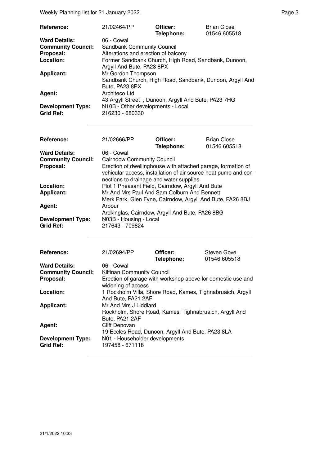Weekly Planning list for 21 January 2022 **Page 3** Page 3

| Reference:                | 21/02464/PP                                              | Officer:<br>Telephone: | <b>Brian Close</b><br>01546 605518 |  |
|---------------------------|----------------------------------------------------------|------------------------|------------------------------------|--|
| <b>Ward Details:</b>      | 06 - Cowal                                               |                        |                                    |  |
| <b>Community Council:</b> | <b>Sandbank Community Council</b>                        |                        |                                    |  |
| Proposal:                 | Alterations and erection of balcony                      |                        |                                    |  |
| Location:                 | Former Sandbank Church, High Road, Sandbank, Dunoon,     |                        |                                    |  |
|                           | Argyll And Bute, PA23 8PX                                |                        |                                    |  |
| Applicant:                | Mr Gordon Thompson                                       |                        |                                    |  |
|                           | Sandbank Church, High Road, Sandbank, Dunoon, Argyll And |                        |                                    |  |
|                           | Bute, PA23 8PX                                           |                        |                                    |  |
| Agent:                    | Architeco Ltd                                            |                        |                                    |  |
|                           | 43 Argyll Street, Dunoon, Argyll And Bute, PA23 7HG      |                        |                                    |  |
| <b>Development Type:</b>  | N10B - Other developments - Local                        |                        |                                    |  |
| <b>Grid Ref:</b>          | 216230 - 680330                                          |                        |                                    |  |

| <b>Reference:</b>                            | 21/02666/PP                                                                                                                                                                | Officer:<br>Telephone: | <b>Brian Close</b><br>01546 605518 |
|----------------------------------------------|----------------------------------------------------------------------------------------------------------------------------------------------------------------------------|------------------------|------------------------------------|
| <b>Ward Details:</b>                         | 06 - Cowal                                                                                                                                                                 |                        |                                    |
| <b>Community Council:</b>                    | <b>Cairndow Community Council</b>                                                                                                                                          |                        |                                    |
| Proposal:                                    | Erection of dwellinghouse with attached garage, formation of<br>vehicular access, installation of air source heat pump and con-<br>nections to drainage and water supplies |                        |                                    |
| Location:                                    | Plot 1 Pheasant Field, Cairndow, Argyll And Bute                                                                                                                           |                        |                                    |
| <b>Applicant:</b>                            | Mr And Mrs Paul And Sam Colburn And Bennett<br>Merk Park, Glen Fyne, Cairndow, Argyll And Bute, PA26 8BJ                                                                   |                        |                                    |
| Agent:                                       | Arbour<br>Ardkinglas, Cairndow, Argyll And Bute, PA26 8BG                                                                                                                  |                        |                                    |
| <b>Development Type:</b><br><b>Grid Ref:</b> | N03B - Housing - Local<br>217643 - 709824                                                                                                                                  |                        |                                    |

| Reference:                                   | 21/02694/PP                                                                                       | Officer:<br>Telephone: | Steven Gove<br>01546 605518 |  |  |
|----------------------------------------------|---------------------------------------------------------------------------------------------------|------------------------|-----------------------------|--|--|
| <b>Ward Details:</b>                         | 06 - Cowal                                                                                        |                        |                             |  |  |
| <b>Community Council:</b>                    | <b>Kilfinan Community Council</b>                                                                 |                        |                             |  |  |
| Proposal:                                    | Erection of garage with workshop above for domestic use and<br>widening of access                 |                        |                             |  |  |
| Location:                                    | 1 Rockholm Villa, Shore Road, Kames, Tighnabruaich, Argyll<br>And Bute, PA21 2AF                  |                        |                             |  |  |
| <b>Applicant:</b>                            | Mr And Mrs J Liddiard<br>Rockholm, Shore Road, Kames, Tighnabruaich, Argyll And<br>Bute, PA21 2AF |                        |                             |  |  |
| Agent:                                       | Cliff Denovan<br>19 Eccles Road, Dunoon, Argyll And Bute, PA23 8LA                                |                        |                             |  |  |
| <b>Development Type:</b><br><b>Grid Ref:</b> | N01 - Householder developments<br>197458 - 671118                                                 |                        |                             |  |  |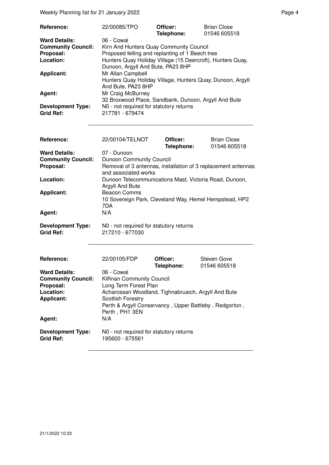| Weekly Planning list for 21 January 2022                                                                   |                                                                                                                                                                                                                                                                                                                                           |                        |                                    | Page 4 |  |
|------------------------------------------------------------------------------------------------------------|-------------------------------------------------------------------------------------------------------------------------------------------------------------------------------------------------------------------------------------------------------------------------------------------------------------------------------------------|------------------------|------------------------------------|--------|--|
| Reference:                                                                                                 | 22/00085/TPO                                                                                                                                                                                                                                                                                                                              | Officer:<br>Telephone: | <b>Brian Close</b><br>01546 605518 |        |  |
| <b>Ward Details:</b><br><b>Community Council:</b><br>Proposal:<br>Location:<br><b>Applicant:</b><br>Agent: | 06 - Cowal<br>Kirn And Hunters Quay Community Council<br>Proposed felling and replanting of 1 Beech tree<br>Hunters Quay Holiday Village (15 Deercroft), Hunters Quay,<br>Dunoon, Argyll And Bute, PA23 8HP<br>Mr Allan Campbell<br>Hunters Quay Holiday Village, Hunters Quay, Dunoon, Argyll<br>And Bute, PA23 8HP<br>Mr Craig McBurney |                        |                                    |        |  |
| <b>Development Type:</b><br><b>Grid Ref:</b>                                                               | 32 Broxwood Place, Sandbank, Dunoon, Argyll And Bute<br>N0 - not required for statutory returns<br>217781 - 679474                                                                                                                                                                                                                        |                        |                                    |        |  |
| Reference:                                                                                                 | 22/00104/TELNOT                                                                                                                                                                                                                                                                                                                           | Officer:<br>Telephone: | <b>Brian Close</b><br>01546 605518 |        |  |
| <b>Ward Details:</b><br><b>Community Council:</b><br>Proposal:<br>Location:<br><b>Applicant:</b><br>Agent: | 07 - Dunoon<br><b>Dunoon Community Council</b><br>Removal of 3 antennas, installation of 3 replacement antennas<br>and associated works<br>Dunoon Telecommunications Mast, Victoria Road, Dunoon,<br>Argyll And Bute<br><b>Beacon Comms</b><br>10 Sovereign Park, Cleveland Way, Hemel Hempstead, HP2<br>7DA<br>N/A                       |                        |                                    |        |  |
| <b>Development Type:</b><br><b>Grid Ref:</b>                                                               | N0 - not required for statutory returns<br>217210 - 677030                                                                                                                                                                                                                                                                                |                        |                                    |        |  |
| Reference:                                                                                                 | 22/00105/FDP                                                                                                                                                                                                                                                                                                                              | Officer:<br>Telephone: | Steven Gove<br>01546 605518        |        |  |
| <b>Ward Details:</b><br><b>Community Council:</b><br>Proposal:<br>Location:<br><b>Applicant:</b><br>Agent: | 06 - Cowal<br>Kilfinan Community Council<br>Long Term Forest Plan<br>Acharossan Woodland, Tighnabruaich, Argyll And Bute<br><b>Scottish Forestry</b><br>Perth & Argyll Conservancy, Upper Battleby, Redgorton,<br>Perth, PH1 3EN<br>N/A                                                                                                   |                        |                                    |        |  |
| <b>Development Type:</b><br><b>Grid Ref:</b>                                                               | N0 - not required for statutory returns<br>195600 - 675561                                                                                                                                                                                                                                                                                |                        |                                    |        |  |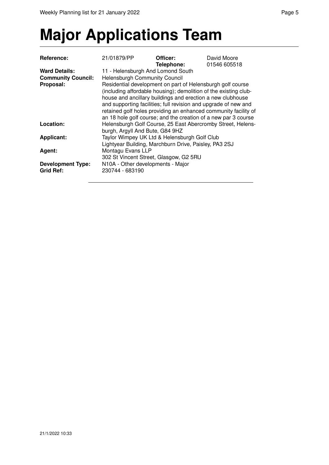# **Major Applications Team**

| <b>Reference:</b>         | 21/01879/PP                                                                                                                    | Officer:                                                                                                                                                                                                                                                           | David Moore  |  |  |
|---------------------------|--------------------------------------------------------------------------------------------------------------------------------|--------------------------------------------------------------------------------------------------------------------------------------------------------------------------------------------------------------------------------------------------------------------|--------------|--|--|
|                           |                                                                                                                                | Telephone:                                                                                                                                                                                                                                                         | 01546 605518 |  |  |
| <b>Ward Details:</b>      | 11 - Helensburgh And Lomond South                                                                                              |                                                                                                                                                                                                                                                                    |              |  |  |
| <b>Community Council:</b> | <b>Helensburgh Community Council</b>                                                                                           |                                                                                                                                                                                                                                                                    |              |  |  |
| Proposal:                 | Residential development on part of Helensburgh golf course<br>(including affordable housing); demolition of the existing club- |                                                                                                                                                                                                                                                                    |              |  |  |
|                           |                                                                                                                                | house and ancillary buildings and erection a new clubhouse<br>and supporting facilities; full revision and upgrade of new and<br>retained golf holes providing an enhanced community facility of<br>an 18 hole golf course; and the creation of a new par 3 course |              |  |  |
| Location:                 | burgh, Argyll And Bute, G84 9HZ                                                                                                | Helensburgh Golf Course, 25 East Abercromby Street, Helens-                                                                                                                                                                                                        |              |  |  |
| <b>Applicant:</b>         |                                                                                                                                | Taylor Wimpey UK Ltd & Helensburgh Golf Club                                                                                                                                                                                                                       |              |  |  |
|                           |                                                                                                                                | Lightyear Building, Marchburn Drive, Paisley, PA3 2SJ                                                                                                                                                                                                              |              |  |  |
| Agent:                    | Montagu Evans LLP                                                                                                              |                                                                                                                                                                                                                                                                    |              |  |  |
|                           | 302 St Vincent Street, Glasgow, G2 5RU                                                                                         |                                                                                                                                                                                                                                                                    |              |  |  |
| <b>Development Type:</b>  | N10A - Other developments - Major                                                                                              |                                                                                                                                                                                                                                                                    |              |  |  |
| <b>Grid Ref:</b>          | 230744 - 683190                                                                                                                |                                                                                                                                                                                                                                                                    |              |  |  |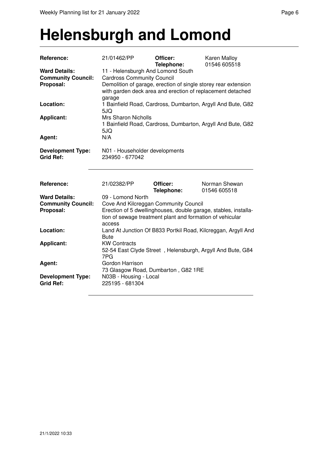### **Helensburgh and Lomond**

| Reference:                | 21/01462/PP                                               | Officer:<br>Telephone: | Karen Malloy<br>01546 605518                                    |  |  |
|---------------------------|-----------------------------------------------------------|------------------------|-----------------------------------------------------------------|--|--|
| <b>Ward Details:</b>      | 11 - Helensburgh And Lomond South                         |                        |                                                                 |  |  |
| <b>Community Council:</b> | <b>Cardross Community Council</b>                         |                        |                                                                 |  |  |
| Proposal:                 |                                                           |                        | Demolition of garage, erection of single storey rear extension  |  |  |
|                           |                                                           |                        | with garden deck area and erection of replacement detached      |  |  |
|                           | garage                                                    |                        |                                                                 |  |  |
| Location:                 |                                                           |                        | 1 Bainfield Road, Cardross, Dumbarton, Argyll And Bute, G82     |  |  |
|                           | 5JQ                                                       |                        |                                                                 |  |  |
| <b>Applicant:</b>         | <b>Mrs Sharon Nicholls</b>                                |                        |                                                                 |  |  |
|                           |                                                           |                        | 1 Bainfield Road, Cardross, Dumbarton, Argyll And Bute, G82     |  |  |
|                           | 5JQ                                                       |                        |                                                                 |  |  |
| Agent:                    | N/A                                                       |                        |                                                                 |  |  |
|                           |                                                           |                        |                                                                 |  |  |
| <b>Development Type:</b>  | N01 - Householder developments                            |                        |                                                                 |  |  |
| <b>Grid Ref:</b>          | 234950 - 677042                                           |                        |                                                                 |  |  |
|                           |                                                           |                        |                                                                 |  |  |
|                           |                                                           |                        |                                                                 |  |  |
| Reference:                | 21/02382/PP                                               | Officer:               | Norman Shewan                                                   |  |  |
|                           |                                                           | Telephone:             | 01546 605518                                                    |  |  |
| <b>Ward Details:</b>      | 09 - Lomond North                                         |                        |                                                                 |  |  |
| <b>Community Council:</b> | Cove And Kilcreggan Community Council                     |                        |                                                                 |  |  |
| Proposal:                 |                                                           |                        | Erection of 5 dwellinghouses, double garage, stables, installa- |  |  |
|                           | tion of sewage treatment plant and formation of vehicular |                        |                                                                 |  |  |
|                           | access                                                    |                        |                                                                 |  |  |
| Location:                 |                                                           |                        | Land At Junction Of B833 Portkil Road, Kilcreggan, Argyll And   |  |  |
|                           | <b>Bute</b>                                               |                        |                                                                 |  |  |
| <b>Applicant:</b>         | <b>KW Contracts</b>                                       |                        |                                                                 |  |  |
|                           |                                                           |                        | 52-54 East Clyde Street, Helensburgh, Argyll And Bute, G84      |  |  |
|                           | 7PG                                                       |                        |                                                                 |  |  |
| Agent:                    | Gordon Harrison                                           |                        |                                                                 |  |  |
|                           | 73 Glasgow Road, Dumbarton, G82 1RE                       |                        |                                                                 |  |  |
| <b>Development Type:</b>  | N03B - Housing - Local                                    |                        |                                                                 |  |  |
| <b>Grid Ref:</b>          | 225195 - 681304                                           |                        |                                                                 |  |  |
|                           |                                                           |                        |                                                                 |  |  |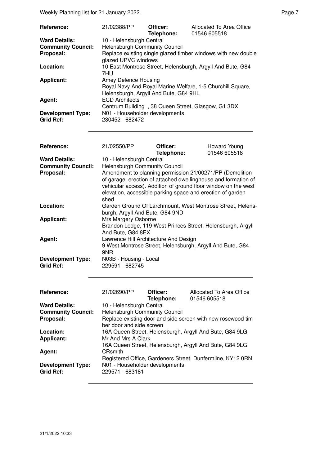Weekly Planning list for 21 January 2022 **Page 7** Neekly Planning list for 21 January 2022

| Reference:                | 21/02388/PP                                                                                         | Officer:<br>Telephone: | Allocated To Area Office<br>01546 605518           |  |
|---------------------------|-----------------------------------------------------------------------------------------------------|------------------------|----------------------------------------------------|--|
| <b>Ward Details:</b>      | 10 - Helensburgh Central                                                                            |                        |                                                    |  |
| <b>Community Council:</b> | <b>Helensburgh Community Council</b>                                                                |                        |                                                    |  |
| Proposal:                 | Replace existing single glazed timber windows with new double<br>glazed UPVC windows                |                        |                                                    |  |
| Location:                 | 10 East Montrose Street, Helensburgh, Argyll And Bute, G84<br>7HU                                   |                        |                                                    |  |
| <b>Applicant:</b>         | Amey Defence Housing                                                                                |                        |                                                    |  |
|                           | Royal Navy And Royal Marine Welfare, 1-5 Churchill Square,<br>Helensburgh, Argyll And Bute, G84 9HL |                        |                                                    |  |
| Agent:                    | <b>ECD Architects</b>                                                                               |                        |                                                    |  |
|                           |                                                                                                     |                        | Centrum Building, 38 Queen Street, Glasgow, G1 3DX |  |
| <b>Development Type:</b>  | N01 - Householder developments                                                                      |                        |                                                    |  |
| <b>Grid Ref:</b>          | 230452 - 682472                                                                                     |                        |                                                    |  |

| <b>Reference:</b>                            | 21/02550/PP                                                                                                                                                                                                                                                        | Officer:<br>Telephone: | Howard Young<br>01546 605518 |  |
|----------------------------------------------|--------------------------------------------------------------------------------------------------------------------------------------------------------------------------------------------------------------------------------------------------------------------|------------------------|------------------------------|--|
| <b>Ward Details:</b>                         | 10 - Helensburgh Central                                                                                                                                                                                                                                           |                        |                              |  |
| <b>Community Council:</b>                    | <b>Helensburgh Community Council</b>                                                                                                                                                                                                                               |                        |                              |  |
| Proposal:                                    | Amendment to planning permission 21/00271/PP (Demolition<br>of garage, erection of attached dwellinghouse and formation of<br>vehicular access). Addition of ground floor window on the west<br>elevation, accessible parking space and erection of garden<br>shed |                        |                              |  |
| Location:                                    | Garden Ground Of Larchmount, West Montrose Street, Helens-<br>burgh, Argyll And Bute, G84 9ND                                                                                                                                                                      |                        |                              |  |
| <b>Applicant:</b>                            | Mrs Margery Osborne                                                                                                                                                                                                                                                |                        |                              |  |
|                                              | Brandon Lodge, 119 West Princes Street, Helensburgh, Argyll<br>And Bute, G84 8EX                                                                                                                                                                                   |                        |                              |  |
| Agent:                                       | Lawrence Hill Architecture And Design                                                                                                                                                                                                                              |                        |                              |  |
|                                              | 9 West Montrose Street, Helensburgh, Argyll And Bute, G84<br>9NR                                                                                                                                                                                                   |                        |                              |  |
| <b>Development Type:</b><br><b>Grid Ref:</b> | N03B - Housing - Local<br>229591 - 682745                                                                                                                                                                                                                          |                        |                              |  |

| Reference:                | 21/02690/PP                                             | Officer:<br>Telephone: | Allocated To Area Office<br>01546 605518                     |  |
|---------------------------|---------------------------------------------------------|------------------------|--------------------------------------------------------------|--|
| <b>Ward Details:</b>      | 10 - Helensburgh Central                                |                        |                                                              |  |
| <b>Community Council:</b> | Helensburgh Community Council                           |                        |                                                              |  |
| Proposal:                 |                                                         |                        | Replace existing door and side screen with new rosewood tim- |  |
|                           | ber door and side screen                                |                        |                                                              |  |
| Location:                 | 16A Queen Street, Helensburgh, Argyll And Bute, G84 9LG |                        |                                                              |  |
| <b>Applicant:</b>         | Mr And Mrs A Clark                                      |                        |                                                              |  |
|                           | 16A Queen Street, Helensburgh, Argyll And Bute, G84 9LG |                        |                                                              |  |
| Agent:                    | CRsmith                                                 |                        |                                                              |  |
|                           |                                                         |                        | Registered Office, Gardeners Street, Dunfermline, KY12 0RN   |  |
| <b>Development Type:</b>  | N01 - Householder developments                          |                        |                                                              |  |
| <b>Grid Ref:</b>          | 229571 - 683181                                         |                        |                                                              |  |
|                           |                                                         |                        |                                                              |  |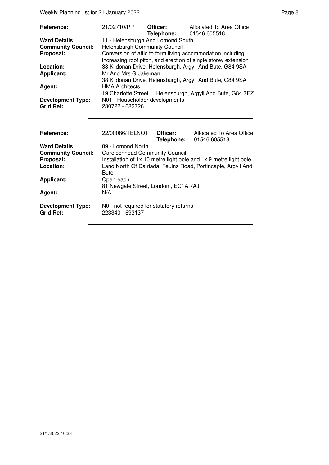Weekly Planning list for 21 January 2022 **Page 8** Page 8

| <b>Reference:</b>         | 21/02710/PP                                                                                                                  | Officer:<br>Telephone: | Allocated To Area Office<br>01546 605518                   |
|---------------------------|------------------------------------------------------------------------------------------------------------------------------|------------------------|------------------------------------------------------------|
| <b>Ward Details:</b>      | 11 - Helensburgh And Lomond South                                                                                            |                        |                                                            |
| <b>Community Council:</b> | <b>Helensburgh Community Council</b>                                                                                         |                        |                                                            |
| Proposal:                 | Conversion of attic to form living accommodation including<br>increasing roof pitch, and erection of single storey extension |                        |                                                            |
| Location:                 | 38 Kildonan Drive, Helensburgh, Argyll And Bute, G84 9SA                                                                     |                        |                                                            |
| <b>Applicant:</b>         | Mr And Mrs G Jakeman                                                                                                         |                        |                                                            |
|                           | 38 Kildonan Drive, Helensburgh, Argyll And Bute, G84 9SA                                                                     |                        |                                                            |
| Agent:                    | <b>HMA Architects</b>                                                                                                        |                        |                                                            |
|                           |                                                                                                                              |                        | 19 Charlotte Street, Helensburgh, Argyll And Bute, G84 7EZ |
| <b>Development Type:</b>  | N01 - Householder developments                                                                                               |                        |                                                            |
| <b>Grid Ref:</b>          | 230722 - 682726                                                                                                              |                        |                                                            |
|                           |                                                                                                                              |                        |                                                            |
|                           |                                                                                                                              |                        |                                                            |

| <b>Reference:</b>         | 22/00086/TELNOT                         | Officer:<br>Telephone: | Allocated To Area Office<br>01546 605518                         |
|---------------------------|-----------------------------------------|------------------------|------------------------------------------------------------------|
| <b>Ward Details:</b>      | 09 - Lomond North                       |                        |                                                                  |
| <b>Community Council:</b> | <b>Garelochhead Community Council</b>   |                        |                                                                  |
| Proposal:                 |                                         |                        | Installation of 1x 10 metre light pole and 1x 9 metre light pole |
| Location:                 |                                         |                        | Land North Of Dalriada, Feuins Road, Portincaple, Argyll And     |
|                           | <b>Bute</b>                             |                        |                                                                  |
| <b>Applicant:</b>         | Openreach                               |                        |                                                                  |
|                           | 81 Newgate Street, London, EC1A 7AJ     |                        |                                                                  |
| Agent:                    | N/A                                     |                        |                                                                  |
|                           |                                         |                        |                                                                  |
| <b>Development Type:</b>  | N0 - not required for statutory returns |                        |                                                                  |
| <b>Grid Ref:</b>          | 223340 - 693137                         |                        |                                                                  |
|                           |                                         |                        |                                                                  |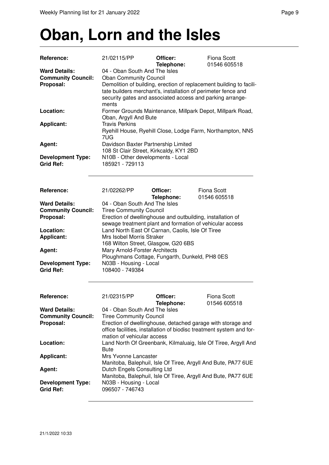### **Oban, Lorn and the Isles**

| Reference:                                   | 21/02115/PP                                                                                                                          | Officer:<br>Telephone:                                                                                                 | <b>Fiona Scott</b><br>01546 605518                                   |  |
|----------------------------------------------|--------------------------------------------------------------------------------------------------------------------------------------|------------------------------------------------------------------------------------------------------------------------|----------------------------------------------------------------------|--|
| <b>Ward Details:</b>                         | 04 - Oban South And The Isles                                                                                                        |                                                                                                                        |                                                                      |  |
| <b>Community Council:</b>                    | <b>Oban Community Council</b>                                                                                                        |                                                                                                                        |                                                                      |  |
| Proposal:                                    | Demolition of building, erection of replacement building to facili-<br>tate builders merchant's, installation of perimeter fence and |                                                                                                                        |                                                                      |  |
|                                              |                                                                                                                                      |                                                                                                                        | security gates and associated access and parking arrange-            |  |
|                                              | ments                                                                                                                                |                                                                                                                        |                                                                      |  |
| Location:                                    |                                                                                                                                      |                                                                                                                        | Former Grounds Maintenance, Millpark Depot, Millpark Road,           |  |
|                                              | Oban, Argyll And Bute                                                                                                                |                                                                                                                        |                                                                      |  |
| <b>Applicant:</b>                            | <b>Travis Perkins</b>                                                                                                                |                                                                                                                        |                                                                      |  |
|                                              |                                                                                                                                      |                                                                                                                        | Ryehill House, Ryehill Close, Lodge Farm, Northampton, NN5           |  |
| Agent:                                       | 7UG<br>Davidson Baxter Partnership Limited                                                                                           |                                                                                                                        |                                                                      |  |
|                                              |                                                                                                                                      | 108 St Clair Street, Kirkcaldy, KY1 2BD                                                                                |                                                                      |  |
| <b>Development Type:</b>                     | N10B - Other developments - Local                                                                                                    |                                                                                                                        |                                                                      |  |
| <b>Grid Ref:</b>                             | 185921 - 729113                                                                                                                      |                                                                                                                        |                                                                      |  |
|                                              |                                                                                                                                      |                                                                                                                        |                                                                      |  |
| Reference:                                   | 21/02262/PP                                                                                                                          | Officer:                                                                                                               | <b>Fiona Scott</b>                                                   |  |
|                                              |                                                                                                                                      | Telephone:                                                                                                             | 01546 605518                                                         |  |
| <b>Ward Details:</b>                         | 04 - Oban South And The Isles                                                                                                        |                                                                                                                        |                                                                      |  |
| <b>Community Council:</b>                    | <b>Tiree Community Council</b>                                                                                                       |                                                                                                                        |                                                                      |  |
| Proposal:                                    |                                                                                                                                      | Erection of dwellinghouse and outbuilding, installation of<br>sewage treatment plant and formation of vehicular access |                                                                      |  |
| Location:                                    |                                                                                                                                      | Land North East Of Carnan, Caolis, Isle Of Tiree                                                                       |                                                                      |  |
| <b>Applicant:</b>                            | Mrs Isobel Morris Straker                                                                                                            |                                                                                                                        |                                                                      |  |
|                                              | 168 Wilton Street, Glasgow, G20 6BS                                                                                                  |                                                                                                                        |                                                                      |  |
| Agent:                                       | Mary Arnold-Forster Architects                                                                                                       |                                                                                                                        |                                                                      |  |
|                                              |                                                                                                                                      | Ploughmans Cottage, Fungarth, Dunkeld, PH8 0ES                                                                         |                                                                      |  |
| <b>Development Type:</b>                     | N03B - Housing - Local                                                                                                               |                                                                                                                        |                                                                      |  |
| <b>Grid Ref:</b>                             | 108400 - 749384                                                                                                                      |                                                                                                                        |                                                                      |  |
| Reference:                                   | 21/02315/PP                                                                                                                          | Officer:                                                                                                               | <b>Fiona Scott</b>                                                   |  |
|                                              |                                                                                                                                      | <b>Telephone:</b>                                                                                                      | 01546 605518                                                         |  |
| <b>Ward Details:</b>                         | 04 - Oban South And The Isles                                                                                                        |                                                                                                                        |                                                                      |  |
| <b>Community Council:</b>                    | <b>Tiree Community Council</b>                                                                                                       |                                                                                                                        |                                                                      |  |
| Proposal:                                    |                                                                                                                                      |                                                                                                                        | Erection of dwellinghouse, detached garage with storage and          |  |
|                                              | mation of vehicular access                                                                                                           |                                                                                                                        | office facilities, installation of biodisc treatment system and for- |  |
| Location:                                    |                                                                                                                                      |                                                                                                                        | Land North Of Greenbank, Kilmaluaig, Isle Of Tiree, Argyll And       |  |
|                                              | <b>Bute</b>                                                                                                                          |                                                                                                                        |                                                                      |  |
| <b>Applicant:</b>                            | Mrs Yvonne Lancaster                                                                                                                 |                                                                                                                        |                                                                      |  |
|                                              |                                                                                                                                      |                                                                                                                        | Manitoba, Balephuil, Isle Of Tiree, Argyll And Bute, PA77 6UE        |  |
| Agent:                                       | Dutch Engels Consulting Ltd                                                                                                          |                                                                                                                        |                                                                      |  |
|                                              |                                                                                                                                      |                                                                                                                        | Manitoba, Balephuil, Isle Of Tiree, Argyll And Bute, PA77 6UE        |  |
| <b>Development Type:</b><br><b>Grid Ref:</b> | N03B - Housing - Local<br>096507 - 746743                                                                                            |                                                                                                                        |                                                                      |  |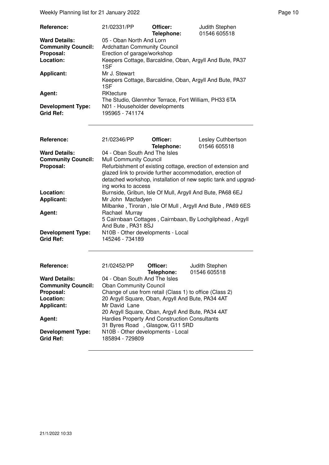Weekly Planning list for 21 January 2022 **Page 10** Neekly Planning list for 21 January 2022

| <b>Reference:</b>                            | 21/02331/PP                                       | Officer:   | Judith Stephen                                           |
|----------------------------------------------|---------------------------------------------------|------------|----------------------------------------------------------|
|                                              |                                                   | Telephone: | 01546 605518                                             |
| <b>Ward Details:</b>                         | 05 - Oban North And Lorn                          |            |                                                          |
| <b>Community Council:</b>                    | <b>Ardchattan Community Council</b>               |            |                                                          |
| Proposal:                                    | Erection of garage/workshop                       |            |                                                          |
| Location:                                    | 1SF                                               |            | Keepers Cottage, Barcaldine, Oban, Argyll And Bute, PA37 |
| <b>Applicant:</b>                            | Mr J. Stewart<br>1SF                              |            | Keepers Cottage, Barcaldine, Oban, Argyll And Bute, PA37 |
| Agent:                                       | RKtecture                                         |            | The Studio, Glenmhor Terrace, Fort William, PH33 6TA     |
| <b>Development Type:</b><br><b>Grid Ref:</b> | N01 - Householder developments<br>195965 - 741174 |            |                                                          |

| Reference:                                                     | 21/02346/PP                                                                                                                                                                                                                                                                          | Officer:<br>Telephone: | Lesley Cuthbertson<br>01546 605518 |  |  |
|----------------------------------------------------------------|--------------------------------------------------------------------------------------------------------------------------------------------------------------------------------------------------------------------------------------------------------------------------------------|------------------------|------------------------------------|--|--|
| <b>Ward Details:</b><br><b>Community Council:</b><br>Proposal: | 04 - Oban South And The Isles<br><b>Mull Community Council</b><br>Refurbishment of existing cottage, erection of extension and<br>glazed link to provide further accommodation, erection of<br>detached workshop, installation of new septic tank and upgrad-<br>ing works to access |                        |                                    |  |  |
| Location:<br><b>Applicant:</b>                                 | Burnside, Gribun, Isle Of Mull, Argyll And Bute, PA68 6EJ<br>Mr John Macfadyen<br>Milbanke, Tiroran, Isle Of Mull, Argyll And Bute, PA69 6ES                                                                                                                                         |                        |                                    |  |  |
| Agent:                                                         | Rachael Murray<br>5 Cairnbaan Cottages, Cairnbaan, By Lochgilphead, Argyll<br>And Bute, PA31 8SJ                                                                                                                                                                                     |                        |                                    |  |  |
| <b>Development Type:</b><br><b>Grid Ref:</b>                   | N10B - Other developments - Local<br>145246 - 734189                                                                                                                                                                                                                                 |                        |                                    |  |  |
| Reference:                                                     | 21/02452/PP                                                                                                                                                                                                                                                                          | Officer:<br>Telephone: | Judith Stephen<br>01546 605518     |  |  |
| <b>Ward Details:</b>                                           | 04 - Oban South And The Isles                                                                                                                                                                                                                                                        |                        |                                    |  |  |
| <b>Community Council:</b>                                      | <b>Oban Community Council</b>                                                                                                                                                                                                                                                        |                        |                                    |  |  |
| Proposal:                                                      | Change of use from retail (Class 1) to office (Class 2)                                                                                                                                                                                                                              |                        |                                    |  |  |
| Location:                                                      | 20 Argyll Square, Oban, Argyll And Bute, PA34 4AT                                                                                                                                                                                                                                    |                        |                                    |  |  |
| <b>Applicant:</b>                                              | Mr David Lane                                                                                                                                                                                                                                                                        |                        |                                    |  |  |
|                                                                | 20 Argyll Square, Oban, Argyll And Bute, PA34 4AT                                                                                                                                                                                                                                    |                        |                                    |  |  |
| Agent:                                                         | <b>Hardies Property And Construction Consultants</b>                                                                                                                                                                                                                                 |                        |                                    |  |  |
|                                                                | 31 Byres Road, Glasgow, G11 5RD                                                                                                                                                                                                                                                      |                        |                                    |  |  |
| <b>Development Type:</b>                                       | N10B - Other developments - Local                                                                                                                                                                                                                                                    |                        |                                    |  |  |
| <b>Grid Ref:</b>                                               | 185894 - 729809                                                                                                                                                                                                                                                                      |                        |                                    |  |  |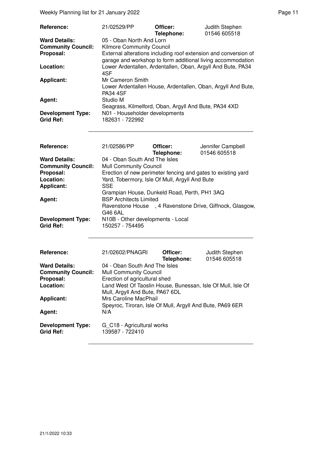Weekly Planning list for 21 January 2022 **Page 11** Neekly Planning list for 21 January 2022

| Reference:                                   | 21/02529/PP                                                                                                                    | Officer:<br>Telephone: | Judith Stephen<br>01546 605518                               |
|----------------------------------------------|--------------------------------------------------------------------------------------------------------------------------------|------------------------|--------------------------------------------------------------|
| <b>Ward Details:</b>                         | 05 - Oban North And Lorn                                                                                                       |                        |                                                              |
| <b>Community Council:</b>                    | <b>Kilmore Community Council</b>                                                                                               |                        |                                                              |
| Proposal:                                    | External alterations including roof extension and conversion of<br>garage and workshop to form additional living accommodation |                        |                                                              |
| Location:                                    | Lower Ardentallen, Ardentallen, Oban, Argyll And Bute, PA34<br>4SF                                                             |                        |                                                              |
| <b>Applicant:</b>                            | Mr Cameron Smith<br><b>PA34 4SF</b>                                                                                            |                        | Lower Ardentallen House, Ardentallen, Oban, Argyll And Bute, |
| Agent:                                       | Studio M<br>Seagrass, Kilmelford, Oban, Argyll And Bute, PA34 4XD                                                              |                        |                                                              |
| <b>Development Type:</b><br><b>Grid Ref:</b> | N01 - Householder developments<br>182631 - 722992                                                                              |                        |                                                              |

| <b>Reference:</b>                            | 21/02586/PP                                              | Officer:<br>Telephone: | Jennifer Campbell<br>01546 605518                            |
|----------------------------------------------|----------------------------------------------------------|------------------------|--------------------------------------------------------------|
| <b>Ward Details:</b>                         | 04 - Oban South And The Isles                            |                        |                                                              |
| <b>Community Council:</b>                    | <b>Mull Community Council</b>                            |                        |                                                              |
| Proposal:                                    |                                                          |                        | Erection of new perimeter fencing and gates to existing yard |
| Location:                                    | Yard, Tobermory, Isle Of Mull, Argyll And Bute           |                        |                                                              |
| <b>Applicant:</b>                            | <b>SSE</b>                                               |                        |                                                              |
|                                              | Grampian House, Dunkeld Road, Perth, PH1 3AQ             |                        |                                                              |
| Agent:                                       | <b>BSP Architects Limited</b>                            |                        |                                                              |
|                                              | Ravenstone House, 4 Ravenstone Drive, Giffnock, Glasgow, |                        |                                                              |
|                                              | G46 6AL                                                  |                        |                                                              |
| <b>Development Type:</b><br><b>Grid Ref:</b> | N10B - Other developments - Local<br>150257 - 754495     |                        |                                                              |

| Reference:                | 21/02602/PNAGRI                                             | Officer:<br>Telephone: | Judith Stephen<br>01546 605518 |
|---------------------------|-------------------------------------------------------------|------------------------|--------------------------------|
| <b>Ward Details:</b>      | 04 - Oban South And The Isles                               |                        |                                |
| <b>Community Council:</b> | <b>Mull Community Council</b>                               |                        |                                |
| Proposal:                 | Erection of agricultural shed                               |                        |                                |
| Location:                 | Land West Of Taoslin House, Bunessan, Isle Of Mull, Isle Of |                        |                                |
|                           | Mull, Argyll And Bute, PA67 6DL                             |                        |                                |
| <b>Applicant:</b>         | Mrs Caroline MacPhail                                       |                        |                                |
|                           | Speyroc, Tiroran, Isle Of Mull, Argyll And Bute, PA69 6ER   |                        |                                |
| Agent:                    | N/A                                                         |                        |                                |
|                           |                                                             |                        |                                |
| <b>Development Type:</b>  | G C18 - Agricultural works                                  |                        |                                |
| <b>Grid Ref:</b>          | 139587 - 722410                                             |                        |                                |
|                           |                                                             |                        |                                |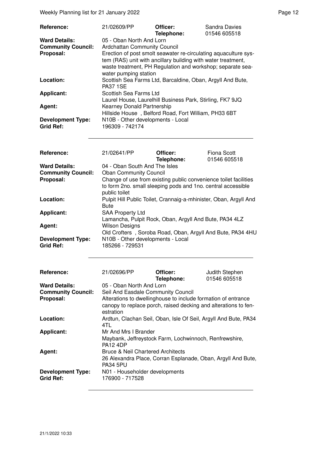Weekly Planning list for 21 January 2022 **Page 12** Page 12

| <b>Reference:</b>         | 21/02609/PP                                                     | Officer:<br>Telephone: | Sandra Davies<br>01546 605518 |  |
|---------------------------|-----------------------------------------------------------------|------------------------|-------------------------------|--|
| <b>Ward Details:</b>      | 05 - Oban North And Lorn                                        |                        |                               |  |
| <b>Community Council:</b> | <b>Ardchattan Community Council</b>                             |                        |                               |  |
| Proposal:                 | Erection of post smolt seawater re-circulating aquaculture sys- |                        |                               |  |
|                           | tem (RAS) unit with ancillary building with water treatment,    |                        |                               |  |
|                           | waste treatment, PH Regulation and workshop; separate sea-      |                        |                               |  |
|                           | water pumping station                                           |                        |                               |  |
| Location:                 | Scottish Sea Farms Ltd, Barcaldine, Oban, Argyll And Bute,      |                        |                               |  |
|                           | <b>PA37 1SE</b>                                                 |                        |                               |  |
| <b>Applicant:</b>         | Scottish Sea Farms Ltd                                          |                        |                               |  |
|                           | Laurel House, Laurelhill Business Park, Stirling, FK7 9JQ       |                        |                               |  |
| Agent:                    | Kearney Donald Partnership                                      |                        |                               |  |
|                           | Hillside House, Belford Road, Fort William, PH33 6BT            |                        |                               |  |
| <b>Development Type:</b>  | N10B - Other developments - Local                               |                        |                               |  |
| <b>Grid Ref:</b>          | 196309 - 742174                                                 |                        |                               |  |

| Reference:                                   | 21/02641/PP                                                                                                                                       | Officer:<br>Telephone: | Fiona Scott<br>01546 605518 |  |
|----------------------------------------------|---------------------------------------------------------------------------------------------------------------------------------------------------|------------------------|-----------------------------|--|
| <b>Ward Details:</b>                         | 04 - Oban South And The Isles                                                                                                                     |                        |                             |  |
| <b>Community Council:</b>                    | <b>Oban Community Council</b>                                                                                                                     |                        |                             |  |
| Proposal:                                    | Change of use from existing public convenience toilet facilities<br>to form 2no. small sleeping pods and 1no. central accessible<br>public toilet |                        |                             |  |
| Location:                                    | Pulpit Hill Public Toilet, Crannaig-a-mhinister, Oban, Argyll And<br><b>Bute</b>                                                                  |                        |                             |  |
| Applicant:                                   | <b>SAA Property Ltd</b><br>Lamancha, Pulpit Rock, Oban, Argyll And Bute, PA34 4LZ                                                                 |                        |                             |  |
| Agent:                                       | <b>Wilson Designs</b><br>Old Crofters, Soroba Road, Oban, Argyll And Bute, PA34 4HU                                                               |                        |                             |  |
| <b>Development Type:</b><br><b>Grid Ref:</b> | N10B - Other developments - Local<br>185266 - 729531                                                                                              |                        |                             |  |

| Reference:                                   | 21/02696/PP                                                                                                                      | Officer:   | Judith Stephen |
|----------------------------------------------|----------------------------------------------------------------------------------------------------------------------------------|------------|----------------|
|                                              |                                                                                                                                  | Telephone: | 01546 605518   |
| <b>Ward Details:</b>                         | 05 - Oban North And Lorn                                                                                                         |            |                |
| <b>Community Council:</b>                    | Seil And Easdale Community Council                                                                                               |            |                |
| Proposal:                                    | Alterations to dwellinghouse to include formation of entrance<br>canopy to replace porch, raised decking and alterations to fen- |            |                |
| Location:                                    | estration<br>Ardtun, Clachan Seil, Oban, Isle Of Seil, Argyll And Bute, PA34<br>4TL                                              |            |                |
| <b>Applicant:</b>                            | Mr And Mrs I Brander<br>Maybank, Jeffreystock Farm, Lochwinnoch, Renfrewshire,                                                   |            |                |
|                                              |                                                                                                                                  |            |                |
| Agent:                                       | <b>Bruce &amp; Neil Chartered Architects</b>                                                                                     |            |                |
|                                              | 26 Alexandra Place, Corran Esplanade, Oban, Argyll And Bute,                                                                     |            |                |
| <b>Development Type:</b><br><b>Grid Ref:</b> | N01 - Householder developments<br>176900 - 717528                                                                                |            |                |
|                                              | <b>PA12 4DP</b><br><b>PA34 5PU</b>                                                                                               |            |                |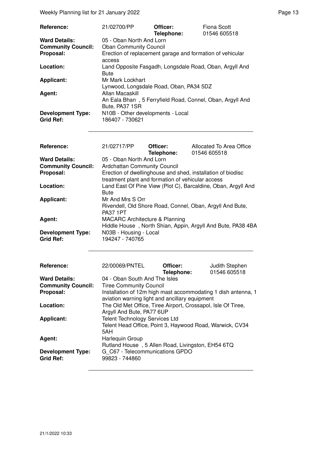Weekly Planning list for 21 January 2022 **Page 13** Page 13

| <b>Reference:</b>         | 21/02700/PP                                                                 | Officer:<br>Telephone: | Fiona Scott<br>01546 605518 |
|---------------------------|-----------------------------------------------------------------------------|------------------------|-----------------------------|
| <b>Ward Details:</b>      | 05 - Oban North And Lorn                                                    |                        |                             |
| <b>Community Council:</b> | <b>Oban Community Council</b>                                               |                        |                             |
| Proposal:                 | Erection of replacement garage and formation of vehicular<br>access         |                        |                             |
| Location:                 | Land Opposite Fasgadh, Longsdale Road, Oban, Argyll And<br><b>Bute</b>      |                        |                             |
| <b>Applicant:</b>         | Mr Mark Lockhart                                                            |                        |                             |
|                           | Lynwood, Longsdale Road, Oban, PA34 5DZ                                     |                        |                             |
| Agent:                    | Allan Macaskill                                                             |                        |                             |
|                           | An Eala Bhan, 5 Ferryfield Road, Connel, Oban, Argyll And<br>Bute, PA37 1SR |                        |                             |
| <b>Development Type:</b>  | N10B - Other developments - Local                                           |                        |                             |
| <b>Grid Ref:</b>          | 186407 - 730621                                                             |                        |                             |
|                           |                                                                             |                        |                             |

| Reference:                | 21/02717/PP                                       | Officer:<br>Telephone: | Allocated To Area Office<br>01546 605518                      |  |
|---------------------------|---------------------------------------------------|------------------------|---------------------------------------------------------------|--|
| <b>Ward Details:</b>      | 05 - Oban North And Lorn                          |                        |                                                               |  |
| <b>Community Council:</b> | Ardchattan Community Council                      |                        |                                                               |  |
| Proposal:                 |                                                   |                        | Erection of dwellinghouse and shed, installation of biodisc   |  |
|                           | treatment plant and formation of vehicular access |                        |                                                               |  |
| Location:                 |                                                   |                        | Land East Of Pine View (Plot C), Barcaldine, Oban, Argyll And |  |
|                           | <b>Bute</b>                                       |                        |                                                               |  |
|                           |                                                   |                        |                                                               |  |
| <b>Applicant:</b>         | Mr And Mrs S Orr                                  |                        |                                                               |  |
|                           |                                                   |                        | Rivendell, Old Shore Road, Connel, Oban, Argyll And Bute,     |  |
|                           | <b>PA37 1PT</b>                                   |                        |                                                               |  |
| Agent:                    | <b>MACARC Architecture &amp; Planning</b>         |                        |                                                               |  |
|                           |                                                   |                        | Hiddle House, North Shian, Appin, Argyll And Bute, PA38 4BA   |  |
| <b>Development Type:</b>  | N03B - Housing - Local                            |                        |                                                               |  |
| <b>Grid Ref:</b>          | 194247 - 740765                                   |                        |                                                               |  |
| Reference:                | 22/00069/PNTEL                                    | Officer:<br>Telephone: | Judith Stephen<br>01546 605518                                |  |
| <b>Ward Details:</b>      | 04 - Oban South And The Isles                     |                        |                                                               |  |
| <b>Community Council:</b> | <b>Tiree Community Council</b>                    |                        |                                                               |  |
| Proposal:                 |                                                   |                        | Installation of 12m high mast accommodating 1 dish antenna, 1 |  |
|                           | aviation warning light and ancillary equipment    |                        |                                                               |  |
| Location:                 |                                                   |                        |                                                               |  |
|                           |                                                   |                        | The Old Met Office, Tiree Airport, Crossapol, Isle Of Tiree,  |  |
|                           | Argyll And Bute, PA77 6UP                         |                        |                                                               |  |
| <b>Applicant:</b>         | <b>Telent Technology Services Ltd</b>             |                        |                                                               |  |
|                           |                                                   |                        | Telent Head Office, Point 3, Haywood Road, Warwick, CV34      |  |
|                           | 5AH                                               |                        |                                                               |  |
| Agent:                    | Harlequin Group                                   |                        |                                                               |  |
|                           | Rutland House, 5 Allen Road, Livingston, EH54 6TQ |                        |                                                               |  |
| <b>Development Type:</b>  | G C67 - Telecommunications GPDO                   |                        |                                                               |  |
| <b>Grid Ref:</b>          |                                                   |                        |                                                               |  |

**Grid Ref:** 99823 - 744860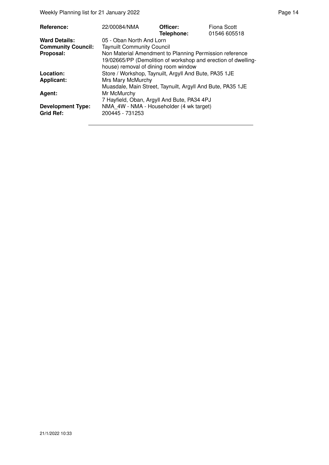Weekly Planning list for 21 January 2022 **Page 14** and the US of the Page 14

| <b>Reference:</b>                            | 22/00084/NMA                                                                                          | Officer:<br>Telephone: | Fiona Scott<br>01546 605518 |
|----------------------------------------------|-------------------------------------------------------------------------------------------------------|------------------------|-----------------------------|
| <b>Ward Details:</b>                         | 05 - Oban North And Lorn                                                                              |                        |                             |
| <b>Community Council:</b>                    | <b>Taynuilt Community Council</b>                                                                     |                        |                             |
| Proposal:                                    | Non Material Amendment to Planning Permission reference                                               |                        |                             |
|                                              | 19/02665/PP (Demolition of workshop and erection of dwelling-<br>house) removal of dining room window |                        |                             |
| Location:                                    | Store / Workshop, Taynuilt, Argyll And Bute, PA35 1JE                                                 |                        |                             |
| <b>Applicant:</b>                            | Mrs Mary McMurchy                                                                                     |                        |                             |
|                                              | Muasdale, Main Street, Taynuilt, Argyll And Bute, PA35 1JE                                            |                        |                             |
| Agent:                                       | Mr McMurchy                                                                                           |                        |                             |
|                                              | 7 Hayfield, Oban, Argyll And Bute, PA34 4PJ                                                           |                        |                             |
| <b>Development Type:</b><br><b>Grid Ref:</b> | NMA 4W - NMA - Householder (4 wk target)<br>200445 - 731253                                           |                        |                             |
|                                              |                                                                                                       |                        |                             |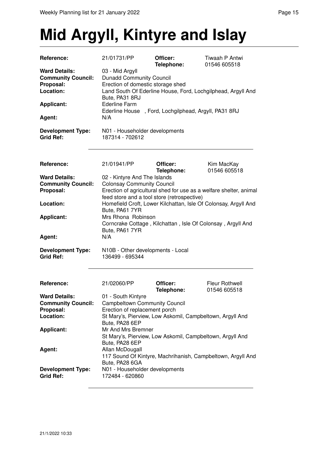# **Mid Argyll, Kintyre and Islay**

| Reference:                                              | 21/01731/PP                       | Officer:                                             | Tiwaah P Antwi<br>01546 605518                                     |
|---------------------------------------------------------|-----------------------------------|------------------------------------------------------|--------------------------------------------------------------------|
| <b>Ward Details:</b>                                    | 03 - Mid Argyll                   | Telephone:                                           |                                                                    |
|                                                         |                                   |                                                      |                                                                    |
| <b>Community Council:</b>                               | <b>Dunadd Community Council</b>   |                                                      |                                                                    |
| Proposal:                                               | Erection of domestic storage shed |                                                      |                                                                    |
| Location:                                               |                                   |                                                      | Land South Of Ederline House, Ford, Lochgilphead, Argyll And       |
|                                                         | Bute, PA31 8RJ                    |                                                      |                                                                    |
| <b>Applicant:</b>                                       | <b>Ederline Farm</b>              |                                                      |                                                                    |
|                                                         |                                   | Ederline House, Ford, Lochgilphead, Argyll, PA31 8RJ |                                                                    |
| Agent:                                                  | N/A                               |                                                      |                                                                    |
| <b>Development Type:</b>                                | N01 - Householder developments    |                                                      |                                                                    |
| <b>Grid Ref:</b>                                        | 187314 - 702612                   |                                                      |                                                                    |
|                                                         |                                   |                                                      |                                                                    |
| Reference:                                              | 21/01941/PP                       | Officer:<br>Telephone:                               | Kim MacKay<br>01546 605518                                         |
| <b>Ward Details:</b>                                    | 02 - Kintyre And The Islands      |                                                      |                                                                    |
| <b>Community Council:</b>                               | <b>Colonsay Community Council</b> |                                                      |                                                                    |
| Proposal:                                               |                                   |                                                      | Erection of agricultural shed for use as a welfare shelter, animal |
|                                                         |                                   | feed store and a tool store (retrospective)          |                                                                    |
| Location:                                               |                                   |                                                      | Homefield Croft, Lower Kilchattan, Isle Of Colonsay, Argyll And    |
|                                                         | Bute, PA61 7YR                    |                                                      |                                                                    |
| <b>Applicant:</b>                                       | Mrs Rhona Robinson                |                                                      |                                                                    |
|                                                         |                                   |                                                      | Corncrake Cottage, Kilchattan, Isle Of Colonsay, Argyll And        |
|                                                         | Bute, PA61 7YR                    |                                                      |                                                                    |
| Agent:                                                  | N/A                               |                                                      |                                                                    |
| <b>Development Type:</b>                                |                                   | N10B - Other developments - Local                    |                                                                    |
| <b>Grid Ref:</b>                                        | 136499 - 695344                   |                                                      |                                                                    |
|                                                         |                                   |                                                      |                                                                    |
| Reference:                                              | 21/02060/PP                       | Officer:                                             | Fleur Rothwell                                                     |
|                                                         |                                   | Telephone:                                           | 01546 605518                                                       |
| <b>Ward Details:</b>                                    | 01 - South Kintyre                |                                                      |                                                                    |
| <b>Community Council:</b> Campbeltown Community Council |                                   |                                                      |                                                                    |
| Proposal:                                               | Erection of replacement porch     |                                                      |                                                                    |
| Location:                                               |                                   |                                                      | St Mary's, Pierview, Low Askomil, Campbeltown, Argyll And          |
|                                                         | Bute, PA28 6EP                    |                                                      |                                                                    |
| <b>Applicant:</b>                                       | Mr And Mrs Bremner                |                                                      |                                                                    |
|                                                         |                                   |                                                      | St Mary's, Pierview, Low Askomil, Campbeltown, Argyll And          |
|                                                         | Bute, PA28 6EP                    |                                                      |                                                                    |
| Agent:                                                  | Allan McDougall                   |                                                      |                                                                    |
|                                                         |                                   |                                                      | 117 Sound Of Kintyre, Machrihanish, Campbeltown, Argyll And        |
|                                                         | Bute, PA28 6GA                    |                                                      |                                                                    |
| <b>Development Type:</b>                                | N01 - Householder developments    |                                                      |                                                                    |
| <b>Grid Ref:</b>                                        | 172484 - 620860                   |                                                      |                                                                    |
|                                                         |                                   |                                                      |                                                                    |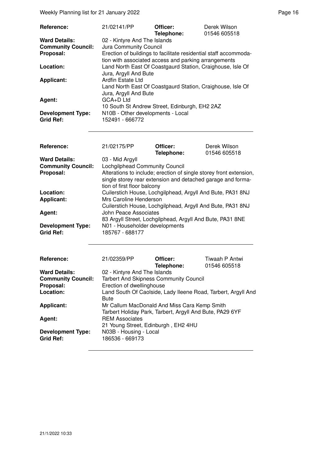Weekly Planning list for 21 January 2022 **Page 16** Network 2022

| Reference:                                   | 21/02141/PP                                                                         | Officer:<br>Telephone: | Derek Wilson<br>01546 605518 |
|----------------------------------------------|-------------------------------------------------------------------------------------|------------------------|------------------------------|
| <b>Ward Details:</b>                         | 02 - Kintyre And The Islands                                                        |                        |                              |
| <b>Community Council:</b>                    | Jura Community Council                                                              |                        |                              |
| Proposal:                                    | Erection of buildings to facilitate residential staff accommoda-                    |                        |                              |
|                                              | tion with associated access and parking arrangements                                |                        |                              |
| Location:                                    | Land North East Of Coastgaurd Station, Craighouse, Isle Of<br>Jura, Argyll And Bute |                        |                              |
| <b>Applicant:</b>                            | Ardfin Estate Ltd<br>Land North East Of Coastgaurd Station, Craighouse, Isle Of     |                        |                              |
|                                              | Jura, Argyll And Bute                                                               |                        |                              |
| Agent:                                       | GCA+D Ltd                                                                           |                        |                              |
|                                              | 10 South St Andrew Street, Edinburgh, EH2 2AZ                                       |                        |                              |
| <b>Development Type:</b><br><b>Grid Ref:</b> | N10B - Other developments - Local<br>152491 - 666772                                |                        |                              |

| Reference:                | 21/02175/PP                    | Officer:                                                           | Derek Wilson |
|---------------------------|--------------------------------|--------------------------------------------------------------------|--------------|
|                           |                                | Telephone:                                                         | 01546 605518 |
| <b>Ward Details:</b>      | 03 - Mid Argyll                |                                                                    |              |
| <b>Community Council:</b> | Lochgilphead Community Council |                                                                    |              |
| Proposal:                 |                                | Alterations to include; erection of single storey front extension, |              |
|                           |                                | single storey rear extension and detached garage and forma-        |              |
|                           | tion of first floor balcony    |                                                                    |              |
| Location:                 |                                | Cuilerstich House, Lochgilphead, Argyll And Bute, PA31 8NJ         |              |
| Applicant:                | Mrs Caroline Henderson         |                                                                    |              |
|                           |                                | Cuilerstich House, Lochgilphead, Argyll And Bute, PA31 8NJ         |              |
| Agent:                    | John Peace Associates          |                                                                    |              |
|                           |                                | 83 Argyll Street, Lochgilphead, Argyll And Bute, PA31 8NE          |              |
| <b>Development Type:</b>  | N01 - Householder developments |                                                                    |              |
| <b>Grid Ref:</b>          | 185767 - 688177                |                                                                    |              |

| Reference:                                   | 21/02359/PP                                                                                              | Officer:<br>Telephone: | Tiwaah P Antwi<br>01546 605518                                |
|----------------------------------------------|----------------------------------------------------------------------------------------------------------|------------------------|---------------------------------------------------------------|
| <b>Ward Details:</b>                         | 02 - Kintyre And The Islands                                                                             |                        |                                                               |
| <b>Community Council:</b>                    | <b>Tarbert And Skipness Community Council</b>                                                            |                        |                                                               |
| Proposal:                                    | Erection of dwellinghouse                                                                                |                        |                                                               |
| Location:                                    | <b>Bute</b>                                                                                              |                        | Land South Of Caolside, Lady Ileene Road, Tarbert, Argyll And |
| <b>Applicant:</b>                            | Mr Callum MacDonald And Miss Cara Kemp Smith<br>Tarbert Holiday Park, Tarbert, Argyll And Bute, PA29 6YF |                        |                                                               |
| Agent:                                       | <b>REM Associates</b><br>21 Young Street, Edinburgh, EH2 4HU                                             |                        |                                                               |
| <b>Development Type:</b><br><b>Grid Ref:</b> | N03B - Housing - Local<br>186536 - 669173                                                                |                        |                                                               |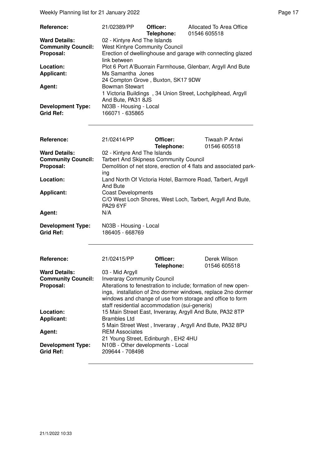Weekly Planning list for 21 January 2022 **Page 17** Neekly Planning list for 21 January 2022

| Reference:                                   | 21/02389/PP                               | Officer:<br>Telephone: | Allocated To Area Office<br>01546 605518                    |
|----------------------------------------------|-------------------------------------------|------------------------|-------------------------------------------------------------|
| <b>Ward Details:</b>                         | 02 - Kintyre And The Islands              |                        |                                                             |
| <b>Community Council:</b>                    | <b>West Kintyre Community Council</b>     |                        |                                                             |
| Proposal:                                    | link between                              |                        | Erection of dwellinghouse and garage with connecting glazed |
| Location:                                    |                                           |                        | Plot 6 Port A'Buorrain Farmhouse, Glenbarr, Argyll And Bute |
| <b>Applicant:</b>                            | Ms Samantha Jones                         |                        |                                                             |
|                                              | 24 Compton Grove, Buxton, SK17 9DW        |                        |                                                             |
| Agent:                                       | <b>Bowman Stewart</b>                     |                        |                                                             |
|                                              | And Bute, PA31 8JS                        |                        | 1 Victoria Buildings, 34 Union Street, Lochgilphead, Argyll |
| <b>Development Type:</b><br><b>Grid Ref:</b> | N03B - Housing - Local<br>166071 - 635865 |                        |                                                             |

| Reference:                                   | 21/02414/PP                                          | Officer:<br>Telephone:                                         | Tiwaah P Antwi<br>01546 605518                                    |  |
|----------------------------------------------|------------------------------------------------------|----------------------------------------------------------------|-------------------------------------------------------------------|--|
| <b>Ward Details:</b>                         | 02 - Kintyre And The Islands                         |                                                                |                                                                   |  |
| <b>Community Council:</b>                    |                                                      | <b>Tarbert And Skipness Community Council</b>                  |                                                                   |  |
| Proposal:                                    |                                                      |                                                                | Demolition of net store, erection of 4 flats and associated park- |  |
|                                              | ing                                                  |                                                                |                                                                   |  |
| Location:                                    |                                                      | Land North Of Victoria Hotel, Barmore Road, Tarbert, Argyll    |                                                                   |  |
|                                              | <b>And Bute</b>                                      |                                                                |                                                                   |  |
| <b>Applicant:</b>                            | <b>Coast Developments</b>                            |                                                                |                                                                   |  |
|                                              |                                                      | C/O West Loch Shores, West Loch, Tarbert, Argyll And Bute,     |                                                                   |  |
|                                              | <b>PA29 6YF</b>                                      |                                                                |                                                                   |  |
| Agent:                                       | N/A                                                  |                                                                |                                                                   |  |
|                                              |                                                      |                                                                |                                                                   |  |
| <b>Development Type:</b>                     | N03B - Housing - Local                               |                                                                |                                                                   |  |
| <b>Grid Ref:</b>                             | 186405 - 668769                                      |                                                                |                                                                   |  |
|                                              |                                                      |                                                                |                                                                   |  |
| Reference:                                   | 21/02415/PP                                          | Officer:                                                       | Derek Wilson                                                      |  |
|                                              |                                                      | Telephone:                                                     | 01546 605518                                                      |  |
| <b>Ward Details:</b>                         | 03 - Mid Argyll                                      |                                                                |                                                                   |  |
| <b>Community Council:</b>                    | <b>Inveraray Community Council</b>                   |                                                                |                                                                   |  |
| Proposal:                                    |                                                      | Alterations to fenestration to include; formation of new open- |                                                                   |  |
|                                              |                                                      | ings, installation of 2no dormer windows, replace 2no dormer   |                                                                   |  |
|                                              |                                                      | windows and change of use from storage and office to form      |                                                                   |  |
|                                              |                                                      | staff residential accommodation (sui-generis)                  |                                                                   |  |
| Location:                                    |                                                      | 15 Main Street East, Inveraray, Argyll And Bute, PA32 8TP      |                                                                   |  |
| <b>Applicant:</b>                            | <b>Brambles Ltd</b>                                  |                                                                |                                                                   |  |
|                                              |                                                      | 5 Main Street West, Inveraray, Argyll And Bute, PA32 8PU       |                                                                   |  |
| Agent:                                       | <b>REM Associates</b>                                |                                                                |                                                                   |  |
|                                              | 21 Young Street, Edinburgh, EH2 4HU                  |                                                                |                                                                   |  |
| <b>Development Type:</b><br><b>Grid Ref:</b> | N10B - Other developments - Local<br>209644 - 708498 |                                                                |                                                                   |  |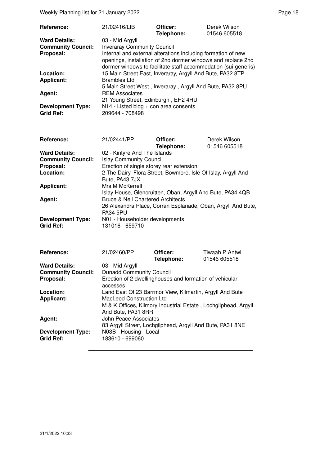Weekly Planning list for 21 January 2022 **Page 18** Page 18

| Reference:                                                     | 21/02416/LIB                                                                                                                                                                                                                                            | Officer:<br>Telephone: | Derek Wilson<br>01546 605518 |
|----------------------------------------------------------------|---------------------------------------------------------------------------------------------------------------------------------------------------------------------------------------------------------------------------------------------------------|------------------------|------------------------------|
| <b>Ward Details:</b><br><b>Community Council:</b><br>Proposal: | 03 - Mid Argyll<br><b>Inveraray Community Council</b><br>Internal and external alterations including formation of new<br>openings, installation of 2no dormer windows and replace 2no<br>dormer windows to facilitate staff accommodation (sui-generis) |                        |                              |
| Location:<br><b>Applicant:</b>                                 | 15 Main Street East, Inveraray, Argyll And Bute, PA32 8TP<br><b>Brambles Ltd</b>                                                                                                                                                                        |                        |                              |
| Agent:                                                         | 5 Main Street West, Inveraray, Argyll And Bute, PA32 8PU<br><b>REM Associates</b><br>21 Young Street, Edinburgh, EH2 4HU                                                                                                                                |                        |                              |
| <b>Development Type:</b><br><b>Grid Ref:</b>                   | N14 - Listed bldg + con area consents<br>209644 - 708498                                                                                                                                                                                                |                        |                              |

| <b>Reference:</b>                            | 21/02441/PP                                                                     | Officer:<br>Telephone: | Derek Wilson<br>01546 605518 |
|----------------------------------------------|---------------------------------------------------------------------------------|------------------------|------------------------------|
| <b>Ward Details:</b>                         | 02 - Kintyre And The Islands                                                    |                        |                              |
| <b>Community Council:</b>                    | <b>Islay Community Council</b>                                                  |                        |                              |
| Proposal:                                    | Erection of single storey rear extension                                        |                        |                              |
| Location:                                    | 2 The Dairy, Flora Street, Bowmore, Isle Of Islay, Argyll And                   |                        |                              |
|                                              | Bute, PA43 7JX                                                                  |                        |                              |
| <b>Applicant:</b>                            | Mrs M McKerrell                                                                 |                        |                              |
|                                              | Islay House, Glencruitten, Oban, Argyll And Bute, PA34 4QB                      |                        |                              |
| Agent:                                       | <b>Bruce &amp; Neil Chartered Architects</b>                                    |                        |                              |
|                                              | 26 Alexandra Place, Corran Esplanade, Oban, Argyll And Bute,<br><b>PA34 5PU</b> |                        |                              |
| <b>Development Type:</b><br><b>Grid Ref:</b> | N01 - Householder developments<br>131016 - 659710                               |                        |                              |

| <b>Reference:</b>                            | 21/02460/PP                                                    | Officer:<br>Telephone: | Tiwaah P Antwi<br>01546 605518 |
|----------------------------------------------|----------------------------------------------------------------|------------------------|--------------------------------|
| <b>Ward Details:</b>                         | 03 - Mid Argyll                                                |                        |                                |
| <b>Community Council:</b>                    | <b>Dunadd Community Council</b>                                |                        |                                |
| Proposal:                                    | Erection of 2 dwellinghouses and formation of vehicular        |                        |                                |
|                                              | accesses                                                       |                        |                                |
| Location:                                    | Land East Of 23 Barrmor View, Kilmartin, Argyll And Bute       |                        |                                |
| <b>Applicant:</b>                            | MacLeod Construction Ltd                                       |                        |                                |
|                                              | M & K Offices, Kilmory Industrial Estate, Lochgilphead, Argyll |                        |                                |
|                                              | And Bute, PA31 8RR                                             |                        |                                |
| Agent:                                       | John Peace Associates                                          |                        |                                |
|                                              | 83 Argyll Street, Lochgilphead, Argyll And Bute, PA31 8NE      |                        |                                |
| <b>Development Type:</b><br><b>Grid Ref:</b> | N03B - Housing - Local<br>183610 - 699060                      |                        |                                |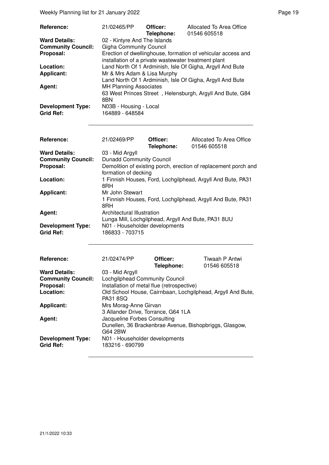Weekly Planning list for 21 January 2022 **Page 19** Neekly Planning list for 21 January 2022

| Reference:                | 21/02465/PP                                               | Officer:<br>Telephone: | Allocated To Area Office<br>01546 605518                     |
|---------------------------|-----------------------------------------------------------|------------------------|--------------------------------------------------------------|
| <b>Ward Details:</b>      | 02 - Kintyre And The Islands                              |                        |                                                              |
| <b>Community Council:</b> | <b>Gigha Community Council</b>                            |                        |                                                              |
| Proposal:                 |                                                           |                        | Erection of dwellinghouse, formation of vehicular access and |
|                           | installation of a private wastewater treatment plant      |                        |                                                              |
| Location:                 | Land North Of 1 Ardminish, Isle Of Gigha, Argyll And Bute |                        |                                                              |
| <b>Applicant:</b>         | Mr & Mrs Adam & Lisa Murphy                               |                        |                                                              |
|                           |                                                           |                        | Land North Of 1 Ardminish, Isle Of Gigha, Argyll And Bute    |
| Agent:                    | <b>MH Planning Associates</b>                             |                        |                                                              |
|                           |                                                           |                        | 63 West Princes Street, Helensburgh, Argyll And Bute, G84    |
|                           | 8BN                                                       |                        |                                                              |
| <b>Development Type:</b>  | N03B - Housing - Local                                    |                        |                                                              |
| <b>Grid Ref:</b>          | 164889 - 648584                                           |                        |                                                              |

| Reference:                                   | 21/02469/PP                                                                             | Officer:<br>Telephone: | Allocated To Area Office<br>01546 605518 |
|----------------------------------------------|-----------------------------------------------------------------------------------------|------------------------|------------------------------------------|
| <b>Ward Details:</b>                         | 03 - Mid Argyll                                                                         |                        |                                          |
| <b>Community Council:</b>                    | <b>Dunadd Community Council</b>                                                         |                        |                                          |
| Proposal:                                    | Demolition of existing porch, erection of replacement porch and<br>formation of decking |                        |                                          |
| Location:                                    | 1 Finnish Houses, Ford, Lochgilphead, Argyll And Bute, PA31<br>8RH                      |                        |                                          |
| <b>Applicant:</b>                            | Mr John Stewart                                                                         |                        |                                          |
|                                              | 1 Finnish Houses, Ford, Lochgilphead, Argyll And Bute, PA31<br>8RH                      |                        |                                          |
| Agent:                                       | Architectural Illustration                                                              |                        |                                          |
|                                              | Lunga Mill, Lochgilphead, Argyll And Bute, PA31 8UU                                     |                        |                                          |
| <b>Development Type:</b><br><b>Grid Ref:</b> | N01 - Householder developments<br>186833 - 703715                                       |                        |                                          |

| <b>Reference:</b>         | 21/02474/PP                                             | Officer:<br>Telephone: | Tiwaah P Antwi<br>01546 605518                              |
|---------------------------|---------------------------------------------------------|------------------------|-------------------------------------------------------------|
| <b>Ward Details:</b>      | 03 - Mid Argyll                                         |                        |                                                             |
| <b>Community Council:</b> | Lochgilphead Community Council                          |                        |                                                             |
| Proposal:                 | Installation of metal flue (retrospective)              |                        |                                                             |
| Location:                 |                                                         |                        | Old School House, Cairnbaan, Lochgilphead, Argyll And Bute, |
|                           | <b>PA31 8SQ</b>                                         |                        |                                                             |
| <b>Applicant:</b>         | Mrs Morag-Anne Girvan                                   |                        |                                                             |
|                           | 3 Allander Drive, Torrance, G64 1LA                     |                        |                                                             |
| Agent:                    | Jacqueline Forbes Consulting                            |                        |                                                             |
|                           | Dunellen, 36 Brackenbrae Avenue, Bishopbriggs, Glasgow, |                        |                                                             |
|                           | G64 2BW                                                 |                        |                                                             |
| <b>Development Type:</b>  | N01 - Householder developments                          |                        |                                                             |
| <b>Grid Ref:</b>          | 183216 - 690799                                         |                        |                                                             |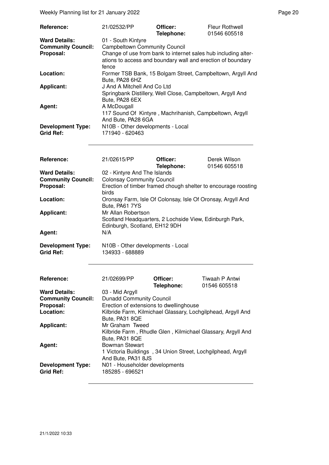Weekly Planning list for 21 January 2022 **Page 20** and the US of the Page 20 and the Page 20

| Reference:                                   | 21/02532/PP                                                                                                                            | Officer:<br>Telephone: | <b>Fleur Rothwell</b><br>01546 605518 |  |
|----------------------------------------------|----------------------------------------------------------------------------------------------------------------------------------------|------------------------|---------------------------------------|--|
| <b>Ward Details:</b>                         | 01 - South Kintyre                                                                                                                     |                        |                                       |  |
| <b>Community Council:</b>                    | <b>Campbeltown Community Council</b>                                                                                                   |                        |                                       |  |
| Proposal:                                    | Change of use from bank to internet sales hub including alter-<br>ations to access and boundary wall and erection of boundary<br>fence |                        |                                       |  |
| Location:                                    | Former TSB Bank, 15 Bolgam Street, Campbeltown, Argyll And<br>Bute, PA28 6HZ                                                           |                        |                                       |  |
| <b>Applicant:</b>                            | J And A Mitchell And Co Ltd<br>Springbank Distillery, Well Close, Campbeltown, Argyll And<br>Bute, PA28 6EX                            |                        |                                       |  |
| Agent:                                       | A McDougall<br>117 Sound Of Kintyre, Machrihanish, Campbeltown, Argyll<br>And Bute, PA28 6GA                                           |                        |                                       |  |
| <b>Development Type:</b><br><b>Grid Ref:</b> | N10B - Other developments - Local<br>171940 - 620463                                                                                   |                        |                                       |  |

| Reference:                                   | 21/02615/PP                                                                                                    | Officer:<br>Telephone: | Derek Wilson<br>01546 605518 |
|----------------------------------------------|----------------------------------------------------------------------------------------------------------------|------------------------|------------------------------|
| <b>Ward Details:</b>                         | 02 - Kintyre And The Islands                                                                                   |                        |                              |
| <b>Community Council:</b>                    | <b>Colonsay Community Council</b>                                                                              |                        |                              |
| Proposal:                                    | Erection of timber framed chough shelter to encourage roosting<br>birds                                        |                        |                              |
| Location:                                    | Oronsay Farm, Isle Of Colonsay, Isle Of Oronsay, Argyll And<br>Bute, PA61 7YS                                  |                        |                              |
| <b>Applicant:</b>                            | Mr Allan Robertson<br>Scotland Headquarters, 2 Lochside View, Edinburgh Park,<br>Edinburgh, Scotland, EH12 9DH |                        |                              |
| Agent:                                       | N/A                                                                                                            |                        |                              |
| <b>Development Type:</b><br><b>Grid Ref:</b> | N10B - Other developments - Local<br>134933 - 688889                                                           |                        |                              |

| Reference:                | 21/02699/PP                                                  | Officer:   | Tiwaah P Antwi                                              |
|---------------------------|--------------------------------------------------------------|------------|-------------------------------------------------------------|
|                           |                                                              | Telephone: | 01546 605518                                                |
| <b>Ward Details:</b>      | 03 - Mid Argyll                                              |            |                                                             |
| <b>Community Council:</b> | <b>Dunadd Community Council</b>                              |            |                                                             |
| Proposal:                 | Erection of extensions to dwellinghouse                      |            |                                                             |
| Location:                 | Kilbride Farm, Kilmichael Glassary, Lochgilphead, Argyll And |            |                                                             |
|                           | Bute, PA31 8QE                                               |            |                                                             |
| <b>Applicant:</b>         | Mr Graham Tweed                                              |            |                                                             |
|                           |                                                              |            | Kilbride Farm, Rhudle Glen, Kilmichael Glassary, Argyll And |
|                           | Bute, PA31 8QE                                               |            |                                                             |
| Agent:                    | <b>Bowman Stewart</b>                                        |            |                                                             |
|                           | 1 Victoria Buildings, 34 Union Street, Lochgilphead, Argyll  |            |                                                             |
|                           | And Bute, PA31 8JS                                           |            |                                                             |
| <b>Development Type:</b>  | N01 - Householder developments                               |            |                                                             |
| <b>Grid Ref:</b>          | 185285 - 696521                                              |            |                                                             |
|                           |                                                              |            |                                                             |